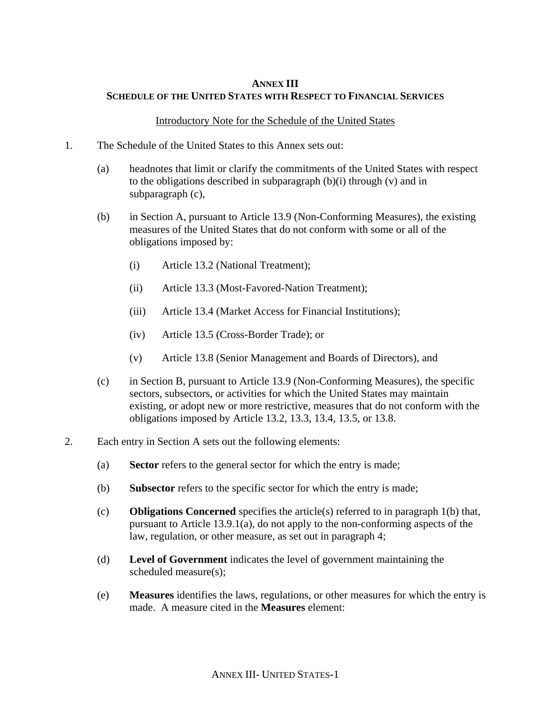### **ANNEX III SCHEDULE OF THE UNITED STATES WITH RESPECT TO FINANCIAL SERVICES**

#### Introductory Note for the Schedule of the United States

- 1. The Schedule of the United States to this Annex sets out:
	- (a) headnotes that limit or clarify the commitments of the United States with respect to the obligations described in subparagraph (b)(i) through (v) and in subparagraph (c),
	- (b) in Section A, pursuant to Article 13.9 (Non-Conforming Measures), the existing measures of the United States that do not conform with some or all of the obligations imposed by:
		- (i) Article 13.2 (National Treatment);
		- (ii) Article 13.3 (Most-Favored-Nation Treatment);
		- (iii) Article 13.4 (Market Access for Financial Institutions);
		- (iv) Article 13.5 (Cross-Border Trade); or
		- (v) Article 13.8 (Senior Management and Boards of Directors), and
	- (c) in Section B, pursuant to Article 13.9 (Non-Conforming Measures), the specific sectors, subsectors, or activities for which the United States may maintain existing, or adopt new or more restrictive, measures that do not conform with the obligations imposed by Article 13.2, 13.3, 13.4, 13.5, or 13.8.
- 2. Each entry in Section A sets out the following elements:
	- (a) **Sector** refers to the general sector for which the entry is made;
	- (b) **Subsector** refers to the specific sector for which the entry is made;
	- (c) **Obligations Concerned** specifies the article(s) referred to in paragraph 1(b) that, pursuant to Article 13.9.1(a), do not apply to the non-conforming aspects of the law, regulation, or other measure, as set out in paragraph 4;
	- (d) **Level of Government** indicates the level of government maintaining the scheduled measure(s);
	- (e) **Measures** identifies the laws, regulations, or other measures for which the entry is made. A measure cited in the **Measures** element: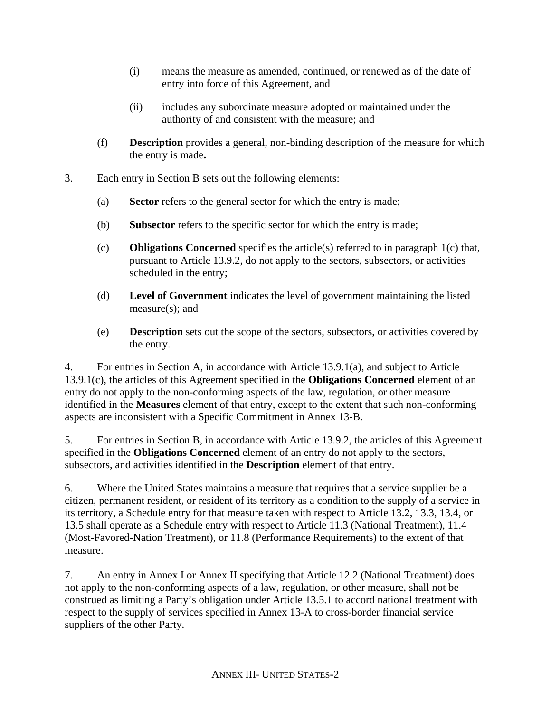- (i) means the measure as amended, continued, or renewed as of the date of entry into force of this Agreement, and
- (ii) includes any subordinate measure adopted or maintained under the authority of and consistent with the measure; and
- (f) **Description** provides a general, non-binding description of the measure for which the entry is made**.**
- 3. Each entry in Section B sets out the following elements:
	- (a) **Sector** refers to the general sector for which the entry is made;
	- (b) **Subsector** refers to the specific sector for which the entry is made;
	- (c) **Obligations Concerned** specifies the article(s) referred to in paragraph 1(c) that, pursuant to Article 13.9.2, do not apply to the sectors, subsectors, or activities scheduled in the entry;
	- (d) **Level of Government** indicates the level of government maintaining the listed measure(s); and
	- (e) **Description** sets out the scope of the sectors, subsectors, or activities covered by the entry.

4. For entries in Section A, in accordance with Article 13.9.1(a), and subject to Article 13.9.1(c), the articles of this Agreement specified in the **Obligations Concerned** element of an entry do not apply to the non-conforming aspects of the law, regulation, or other measure identified in the **Measures** element of that entry, except to the extent that such non-conforming aspects are inconsistent with a Specific Commitment in Annex 13-B.

5. For entries in Section B, in accordance with Article 13.9.2, the articles of this Agreement specified in the **Obligations Concerned** element of an entry do not apply to the sectors, subsectors, and activities identified in the **Description** element of that entry.

6. Where the United States maintains a measure that requires that a service supplier be a citizen, permanent resident, or resident of its territory as a condition to the supply of a service in its territory, a Schedule entry for that measure taken with respect to Article 13.2, 13.3, 13.4, or 13.5 shall operate as a Schedule entry with respect to Article 11.3 (National Treatment), 11.4 (Most-Favored-Nation Treatment), or 11.8 (Performance Requirements) to the extent of that measure.

7. An entry in Annex I or Annex II specifying that Article 12.2 (National Treatment) does not apply to the non-conforming aspects of a law, regulation, or other measure, shall not be construed as limiting a Party's obligation under Article 13.5.1 to accord national treatment with respect to the supply of services specified in Annex 13-A to cross-border financial service suppliers of the other Party.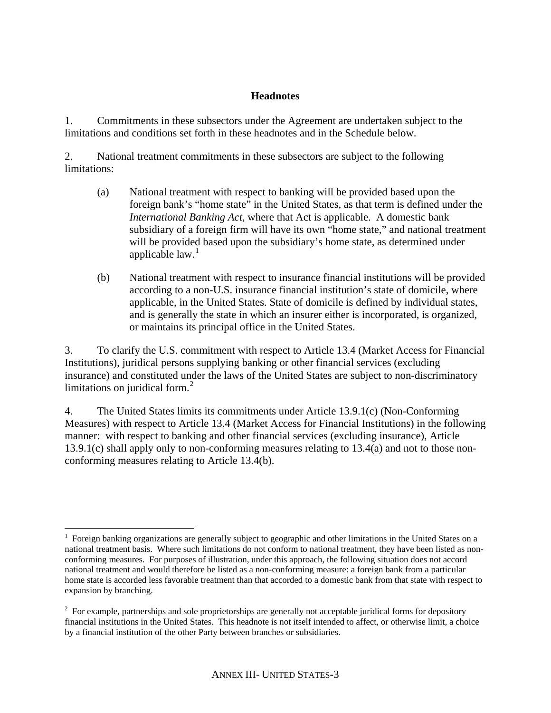## **Headnotes**

1. Commitments in these subsectors under the Agreement are undertaken subject to the limitations and conditions set forth in these headnotes and in the Schedule below.

2. National treatment commitments in these subsectors are subject to the following limitations:

- (a) National treatment with respect to banking will be provided based upon the foreign bank's "home state" in the United States, as that term is defined under the *International Banking Act*, where that Act is applicable. A domestic bank subsidiary of a foreign firm will have its own "home state," and national treatment will be provided based upon the subsidiary's home state, as determined under applicable  $law.<sup>1</sup>$  $law.<sup>1</sup>$  $law.<sup>1</sup>$
- (b) National treatment with respect to insurance financial institutions will be provided according to a non-U.S. insurance financial institution's state of domicile, where applicable, in the United States. State of domicile is defined by individual states, and is generally the state in which an insurer either is incorporated, is organized, or maintains its principal office in the United States.

3. To clarify the U.S. commitment with respect to Article 13.4 (Market Access for Financial Institutions), juridical persons supplying banking or other financial services (excluding insurance) and constituted under the laws of the United States are subject to non-discriminatory limitations on juridical form. $2$ 

4. The United States limits its commitments under Article 13.9.1(c) (Non-Conforming Measures) with respect to Article 13.4 (Market Access for Financial Institutions) in the following manner: with respect to banking and other financial services (excluding insurance), Article 13.9.1(c) shall apply only to non-conforming measures relating to 13.4(a) and not to those nonconforming measures relating to Article 13.4(b).

<span id="page-2-0"></span> $\overline{a}$ <sup>1</sup> Foreign banking organizations are generally subject to geographic and other limitations in the United States on a national treatment basis. Where such limitations do not conform to national treatment, they have been listed as nonconforming measures. For purposes of illustration, under this approach, the following situation does not accord national treatment and would therefore be listed as a non-conforming measure: a foreign bank from a particular home state is accorded less favorable treatment than that accorded to a domestic bank from that state with respect to expansion by branching.

<span id="page-2-1"></span> $2^2$  For example, partnerships and sole proprietorships are generally not acceptable juridical forms for depository financial institutions in the United States. This headnote is not itself intended to affect, or otherwise limit, a choice by a financial institution of the other Party between branches or subsidiaries.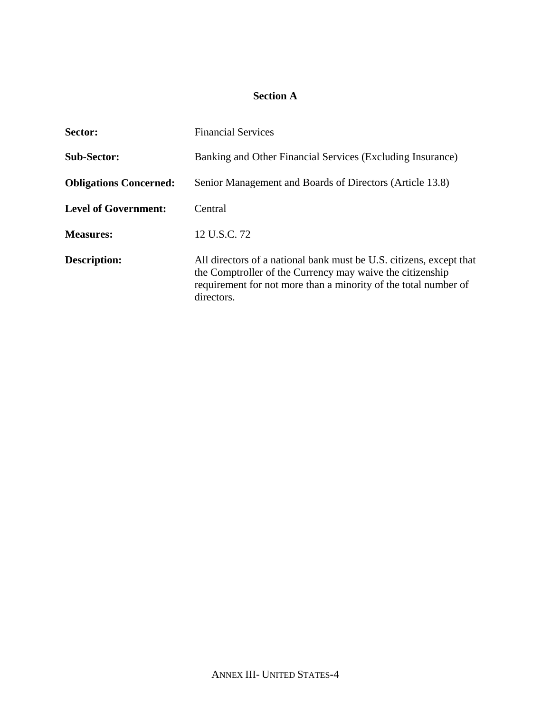# **Section A**

| Sector:                       | <b>Financial Services</b>                                                                                                                                                                                         |
|-------------------------------|-------------------------------------------------------------------------------------------------------------------------------------------------------------------------------------------------------------------|
| <b>Sub-Sector:</b>            | Banking and Other Financial Services (Excluding Insurance)                                                                                                                                                        |
| <b>Obligations Concerned:</b> | Senior Management and Boards of Directors (Article 13.8)                                                                                                                                                          |
| <b>Level of Government:</b>   | Central                                                                                                                                                                                                           |
| <b>Measures:</b>              | 12 U.S.C. 72                                                                                                                                                                                                      |
| <b>Description:</b>           | All directors of a national bank must be U.S. citizens, except that<br>the Comptroller of the Currency may waive the citizenship<br>requirement for not more than a minority of the total number of<br>directors. |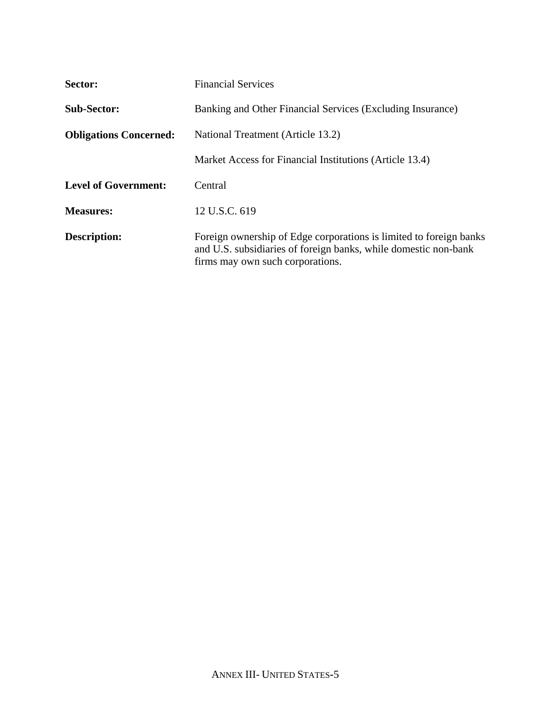| Sector:                       | <b>Financial Services</b>                                                                                                                                                 |
|-------------------------------|---------------------------------------------------------------------------------------------------------------------------------------------------------------------------|
| <b>Sub-Sector:</b>            | Banking and Other Financial Services (Excluding Insurance)                                                                                                                |
| <b>Obligations Concerned:</b> | National Treatment (Article 13.2)                                                                                                                                         |
|                               | Market Access for Financial Institutions (Article 13.4)                                                                                                                   |
| <b>Level of Government:</b>   | Central                                                                                                                                                                   |
| <b>Measures:</b>              | 12 U.S.C. 619                                                                                                                                                             |
| <b>Description:</b>           | Foreign ownership of Edge corporations is limited to foreign banks<br>and U.S. subsidiaries of foreign banks, while domestic non-bank<br>firms may own such corporations. |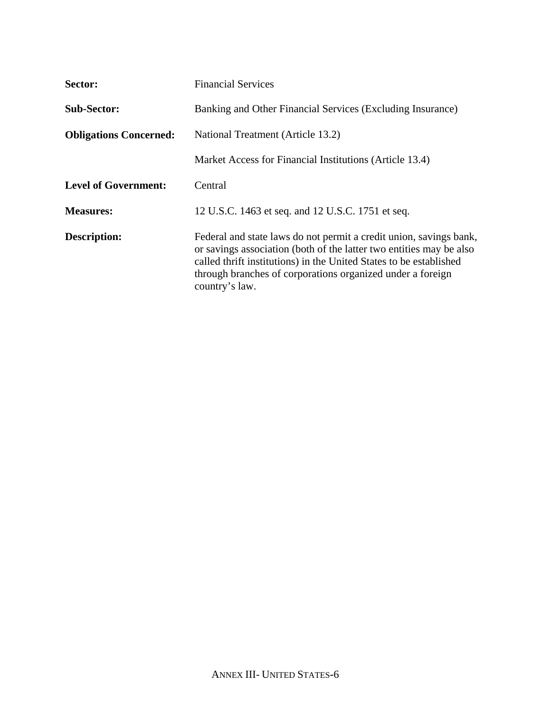| Sector:                       | <b>Financial Services</b>                                                                                                                                                                                                                                                                       |
|-------------------------------|-------------------------------------------------------------------------------------------------------------------------------------------------------------------------------------------------------------------------------------------------------------------------------------------------|
| <b>Sub-Sector:</b>            | Banking and Other Financial Services (Excluding Insurance)                                                                                                                                                                                                                                      |
| <b>Obligations Concerned:</b> | National Treatment (Article 13.2)                                                                                                                                                                                                                                                               |
|                               | Market Access for Financial Institutions (Article 13.4)                                                                                                                                                                                                                                         |
| <b>Level of Government:</b>   | Central                                                                                                                                                                                                                                                                                         |
| <b>Measures:</b>              | 12 U.S.C. 1463 et seq. and 12 U.S.C. 1751 et seq.                                                                                                                                                                                                                                               |
| <b>Description:</b>           | Federal and state laws do not permit a credit union, savings bank,<br>or savings association (both of the latter two entities may be also<br>called thrift institutions) in the United States to be established<br>through branches of corporations organized under a foreign<br>country's law. |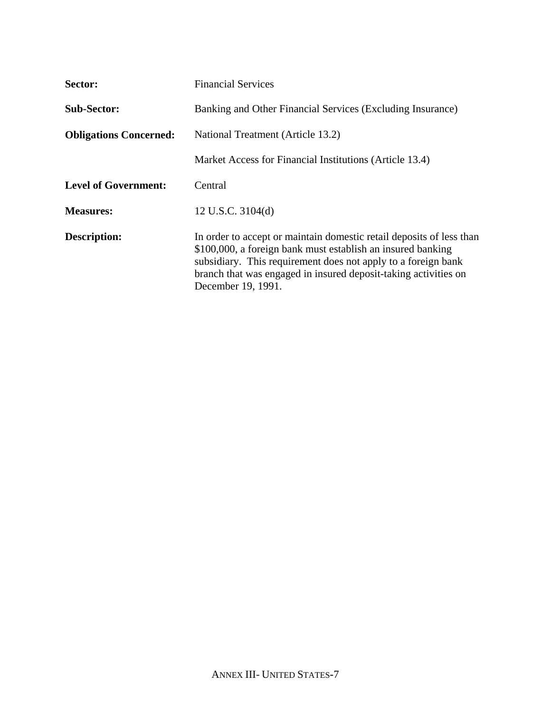| Sector:                       | <b>Financial Services</b>                                                                                                                                                                                                                                                                     |
|-------------------------------|-----------------------------------------------------------------------------------------------------------------------------------------------------------------------------------------------------------------------------------------------------------------------------------------------|
| <b>Sub-Sector:</b>            | Banking and Other Financial Services (Excluding Insurance)                                                                                                                                                                                                                                    |
| <b>Obligations Concerned:</b> | National Treatment (Article 13.2)                                                                                                                                                                                                                                                             |
|                               | Market Access for Financial Institutions (Article 13.4)                                                                                                                                                                                                                                       |
| <b>Level of Government:</b>   | Central                                                                                                                                                                                                                                                                                       |
| <b>Measures:</b>              | 12 U.S.C. 3104(d)                                                                                                                                                                                                                                                                             |
| <b>Description:</b>           | In order to accept or maintain domestic retail deposits of less than<br>\$100,000, a foreign bank must establish an insured banking<br>subsidiary. This requirement does not apply to a foreign bank<br>branch that was engaged in insured deposit-taking activities on<br>December 19, 1991. |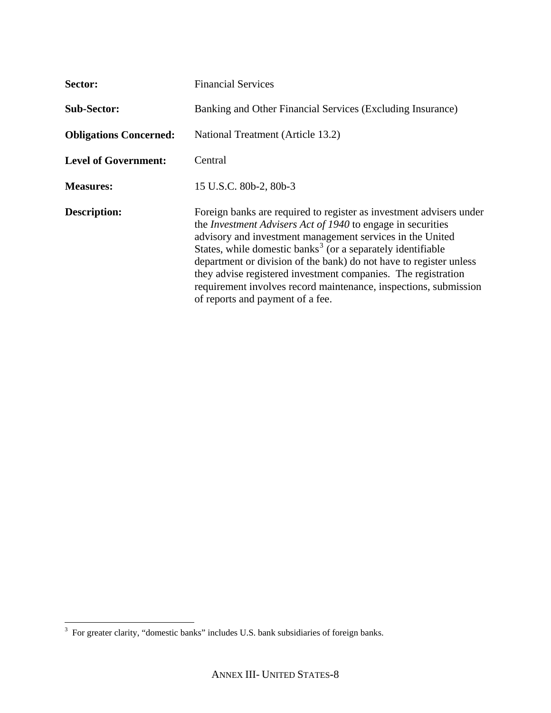| Sector:                       | <b>Financial Services</b>                                                                                                                                                                                                                                                                                                                                                                                                                                                                                                        |
|-------------------------------|----------------------------------------------------------------------------------------------------------------------------------------------------------------------------------------------------------------------------------------------------------------------------------------------------------------------------------------------------------------------------------------------------------------------------------------------------------------------------------------------------------------------------------|
| <b>Sub-Sector:</b>            | Banking and Other Financial Services (Excluding Insurance)                                                                                                                                                                                                                                                                                                                                                                                                                                                                       |
| <b>Obligations Concerned:</b> | National Treatment (Article 13.2)                                                                                                                                                                                                                                                                                                                                                                                                                                                                                                |
| <b>Level of Government:</b>   | Central                                                                                                                                                                                                                                                                                                                                                                                                                                                                                                                          |
| <b>Measures:</b>              | 15 U.S.C. 80b-2, 80b-3                                                                                                                                                                                                                                                                                                                                                                                                                                                                                                           |
| <b>Description:</b>           | Foreign banks are required to register as investment advisers under<br>the <i>Investment Advisers Act of 1940</i> to engage in securities<br>advisory and investment management services in the United<br>States, while domestic banks <sup>3</sup> (or a separately identifiable<br>department or division of the bank) do not have to register unless<br>they advise registered investment companies. The registration<br>requirement involves record maintenance, inspections, submission<br>of reports and payment of a fee. |

<span id="page-7-0"></span><sup>&</sup>lt;sup>3</sup> For greater clarity, "domestic banks" includes U.S. bank subsidiaries of foreign banks.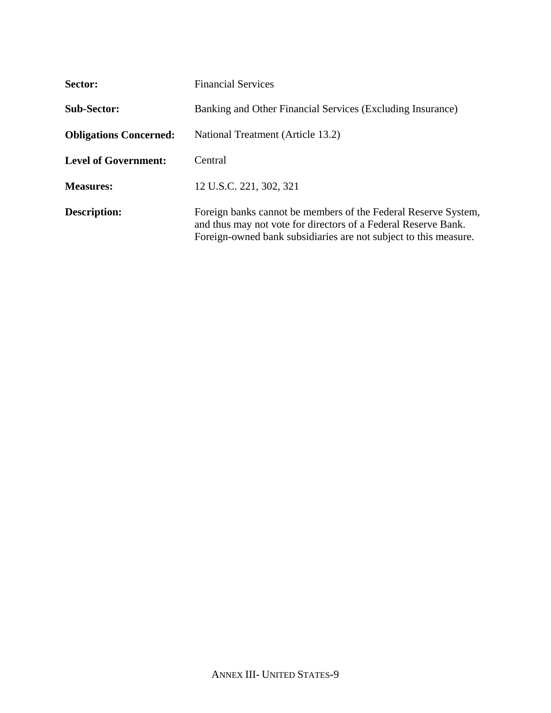| Sector:                       | <b>Financial Services</b>                                                                                                                                                                            |
|-------------------------------|------------------------------------------------------------------------------------------------------------------------------------------------------------------------------------------------------|
| <b>Sub-Sector:</b>            | Banking and Other Financial Services (Excluding Insurance)                                                                                                                                           |
| <b>Obligations Concerned:</b> | National Treatment (Article 13.2)                                                                                                                                                                    |
| <b>Level of Government:</b>   | Central                                                                                                                                                                                              |
| <b>Measures:</b>              | 12 U.S.C. 221, 302, 321                                                                                                                                                                              |
| <b>Description:</b>           | Foreign banks cannot be members of the Federal Reserve System,<br>and thus may not vote for directors of a Federal Reserve Bank.<br>Foreign-owned bank subsidiaries are not subject to this measure. |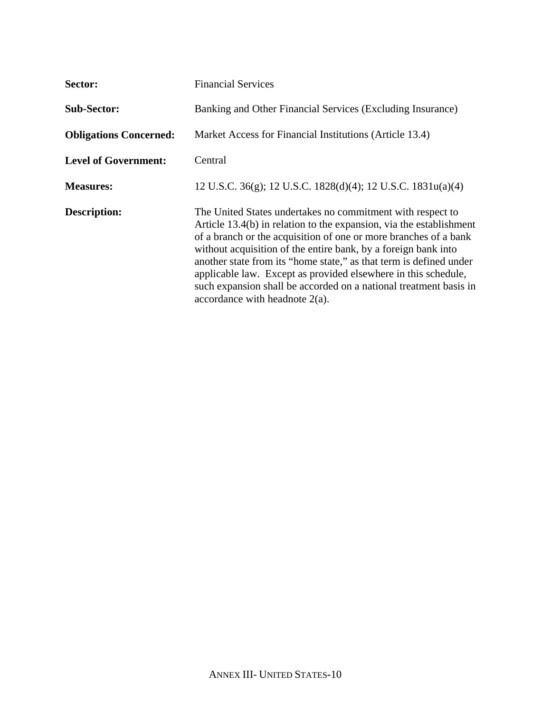| Sector:                       | <b>Financial Services</b>                                                                                                                                                                                                                                                                                                                                                                                                                                                                                                 |
|-------------------------------|---------------------------------------------------------------------------------------------------------------------------------------------------------------------------------------------------------------------------------------------------------------------------------------------------------------------------------------------------------------------------------------------------------------------------------------------------------------------------------------------------------------------------|
| <b>Sub-Sector:</b>            | Banking and Other Financial Services (Excluding Insurance)                                                                                                                                                                                                                                                                                                                                                                                                                                                                |
| <b>Obligations Concerned:</b> | Market Access for Financial Institutions (Article 13.4)                                                                                                                                                                                                                                                                                                                                                                                                                                                                   |
| <b>Level of Government:</b>   | Central                                                                                                                                                                                                                                                                                                                                                                                                                                                                                                                   |
| <b>Measures:</b>              | 12 U.S.C. 36(g); 12 U.S.C. 1828(d)(4); 12 U.S.C. 1831u(a)(4)                                                                                                                                                                                                                                                                                                                                                                                                                                                              |
| <b>Description:</b>           | The United States undertakes no commitment with respect to<br>Article 13.4(b) in relation to the expansion, via the establishment<br>of a branch or the acquisition of one or more branches of a bank<br>without acquisition of the entire bank, by a foreign bank into<br>another state from its "home state," as that term is defined under<br>applicable law. Except as provided elsewhere in this schedule,<br>such expansion shall be accorded on a national treatment basis in<br>accordance with headnote $2(a)$ . |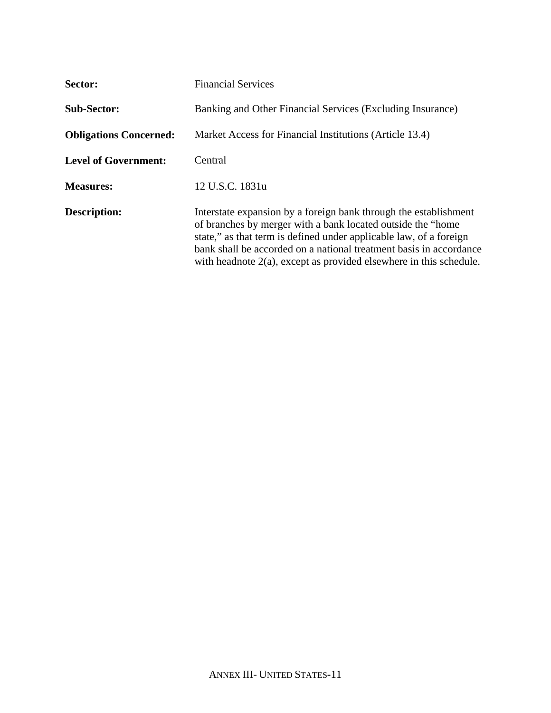| Sector:                       | <b>Financial Services</b>                                                                                                                                                                                                                                                                                                                             |
|-------------------------------|-------------------------------------------------------------------------------------------------------------------------------------------------------------------------------------------------------------------------------------------------------------------------------------------------------------------------------------------------------|
| <b>Sub-Sector:</b>            | Banking and Other Financial Services (Excluding Insurance)                                                                                                                                                                                                                                                                                            |
| <b>Obligations Concerned:</b> | Market Access for Financial Institutions (Article 13.4)                                                                                                                                                                                                                                                                                               |
| <b>Level of Government:</b>   | Central                                                                                                                                                                                                                                                                                                                                               |
| <b>Measures:</b>              | 12 U.S.C. 1831u                                                                                                                                                                                                                                                                                                                                       |
| <b>Description:</b>           | Interstate expansion by a foreign bank through the establishment<br>of branches by merger with a bank located outside the "home"<br>state," as that term is defined under applicable law, of a foreign<br>bank shall be accorded on a national treatment basis in accordance<br>with headnote $2(a)$ , except as provided elsewhere in this schedule. |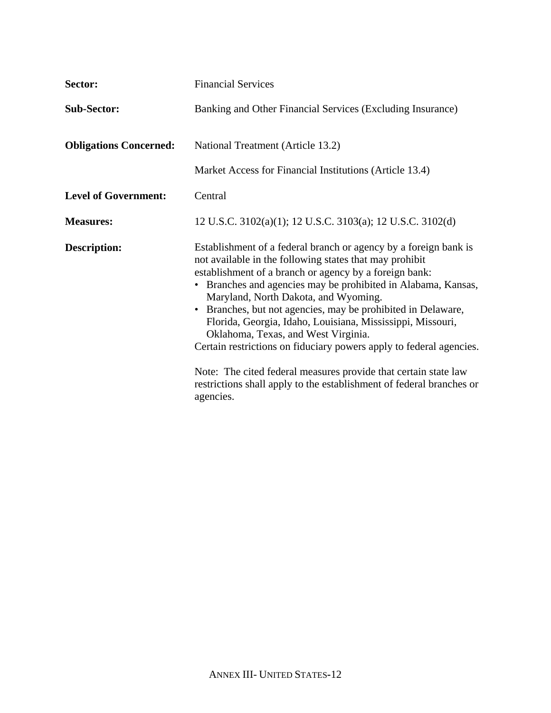| Sector:                       | <b>Financial Services</b>                                                                                                                                                                                                                                                                                                                                                                                                                                                                                                                                                                                                                                                                                   |
|-------------------------------|-------------------------------------------------------------------------------------------------------------------------------------------------------------------------------------------------------------------------------------------------------------------------------------------------------------------------------------------------------------------------------------------------------------------------------------------------------------------------------------------------------------------------------------------------------------------------------------------------------------------------------------------------------------------------------------------------------------|
| <b>Sub-Sector:</b>            | Banking and Other Financial Services (Excluding Insurance)                                                                                                                                                                                                                                                                                                                                                                                                                                                                                                                                                                                                                                                  |
| <b>Obligations Concerned:</b> | National Treatment (Article 13.2)                                                                                                                                                                                                                                                                                                                                                                                                                                                                                                                                                                                                                                                                           |
|                               | Market Access for Financial Institutions (Article 13.4)                                                                                                                                                                                                                                                                                                                                                                                                                                                                                                                                                                                                                                                     |
| <b>Level of Government:</b>   | Central                                                                                                                                                                                                                                                                                                                                                                                                                                                                                                                                                                                                                                                                                                     |
| <b>Measures:</b>              | 12 U.S.C. 3102(a)(1); 12 U.S.C. 3103(a); 12 U.S.C. 3102(d)                                                                                                                                                                                                                                                                                                                                                                                                                                                                                                                                                                                                                                                  |
| <b>Description:</b>           | Establishment of a federal branch or agency by a foreign bank is<br>not available in the following states that may prohibit<br>establishment of a branch or agency by a foreign bank:<br>Branches and agencies may be prohibited in Alabama, Kansas,<br>Maryland, North Dakota, and Wyoming.<br>Branches, but not agencies, may be prohibited in Delaware,<br>$\bullet$<br>Florida, Georgia, Idaho, Louisiana, Mississippi, Missouri,<br>Oklahoma, Texas, and West Virginia.<br>Certain restrictions on fiduciary powers apply to federal agencies.<br>Note: The cited federal measures provide that certain state law<br>restrictions shall apply to the establishment of federal branches or<br>agencies. |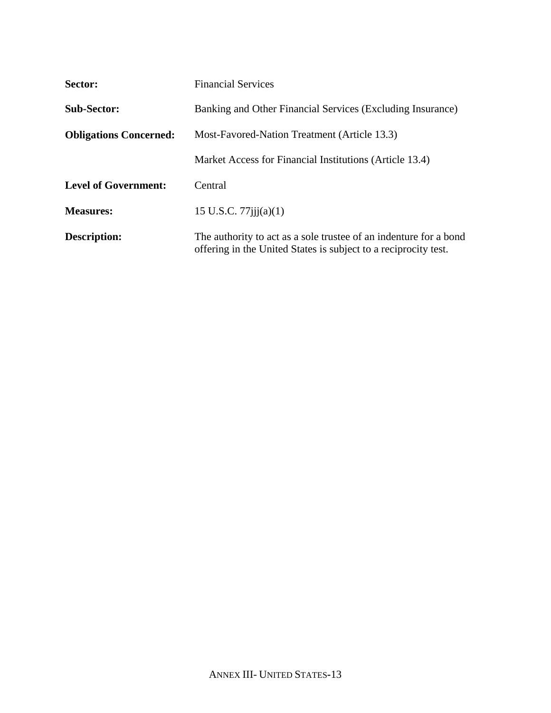| Sector:                       | <b>Financial Services</b>                                                                                                            |
|-------------------------------|--------------------------------------------------------------------------------------------------------------------------------------|
| <b>Sub-Sector:</b>            | Banking and Other Financial Services (Excluding Insurance)                                                                           |
| <b>Obligations Concerned:</b> | Most-Favored-Nation Treatment (Article 13.3)                                                                                         |
|                               | Market Access for Financial Institutions (Article 13.4)                                                                              |
| <b>Level of Government:</b>   | Central                                                                                                                              |
| <b>Measures:</b>              | 15 U.S.C. $77$ iji $(a)(1)$                                                                                                          |
| <b>Description:</b>           | The authority to act as a sole trustee of an indenture for a bond<br>offering in the United States is subject to a reciprocity test. |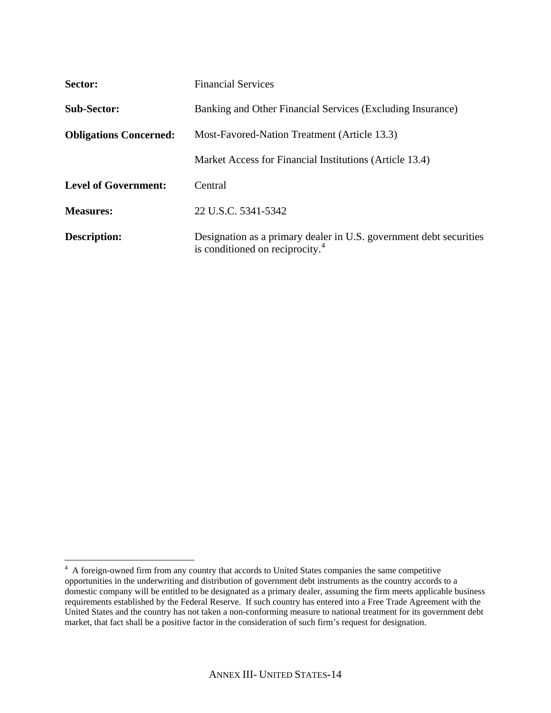| Sector:                       | <b>Financial Services</b>                                                                                         |
|-------------------------------|-------------------------------------------------------------------------------------------------------------------|
| <b>Sub-Sector:</b>            | Banking and Other Financial Services (Excluding Insurance)                                                        |
| <b>Obligations Concerned:</b> | Most-Favored-Nation Treatment (Article 13.3)                                                                      |
|                               | Market Access for Financial Institutions (Article 13.4)                                                           |
| <b>Level of Government:</b>   | Central                                                                                                           |
| <b>Measures:</b>              | 22 U.S.C. 5341-5342                                                                                               |
| Description:                  | Designation as a primary dealer in U.S. government debt securities<br>is conditioned on reciprocity. <sup>4</sup> |

<span id="page-13-0"></span> 4 A foreign-owned firm from any country that accords to United States companies the same competitive opportunities in the underwriting and distribution of government debt instruments as the country accords to a domestic company will be entitled to be designated as a primary dealer, assuming the firm meets applicable business requirements established by the Federal Reserve. If such country has entered into a Free Trade Agreement with the United States and the country has not taken a non-conforming measure to national treatment for its government debt market, that fact shall be a positive factor in the consideration of such firm's request for designation.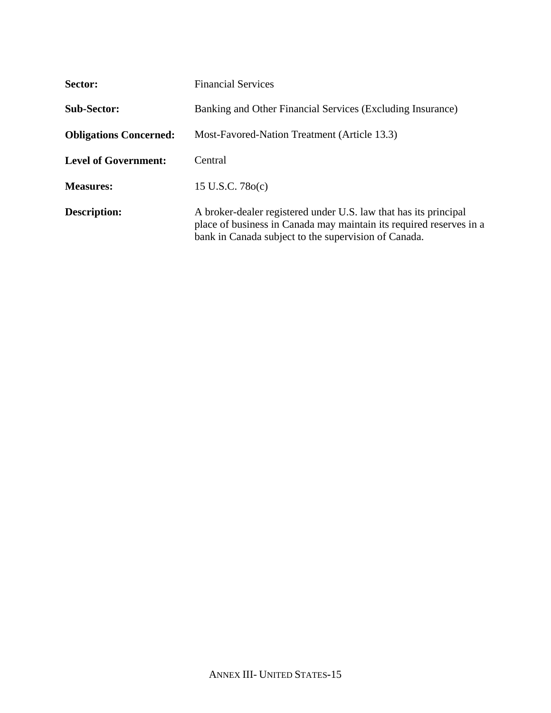| Sector:                       | <b>Financial Services</b>                                                                                                                                                                       |
|-------------------------------|-------------------------------------------------------------------------------------------------------------------------------------------------------------------------------------------------|
| <b>Sub-Sector:</b>            | Banking and Other Financial Services (Excluding Insurance)                                                                                                                                      |
| <b>Obligations Concerned:</b> | Most-Favored-Nation Treatment (Article 13.3)                                                                                                                                                    |
| <b>Level of Government:</b>   | Central                                                                                                                                                                                         |
| <b>Measures:</b>              | 15 U.S.C. $78o(c)$                                                                                                                                                                              |
| <b>Description:</b>           | A broker-dealer registered under U.S. law that has its principal<br>place of business in Canada may maintain its required reserves in a<br>bank in Canada subject to the supervision of Canada. |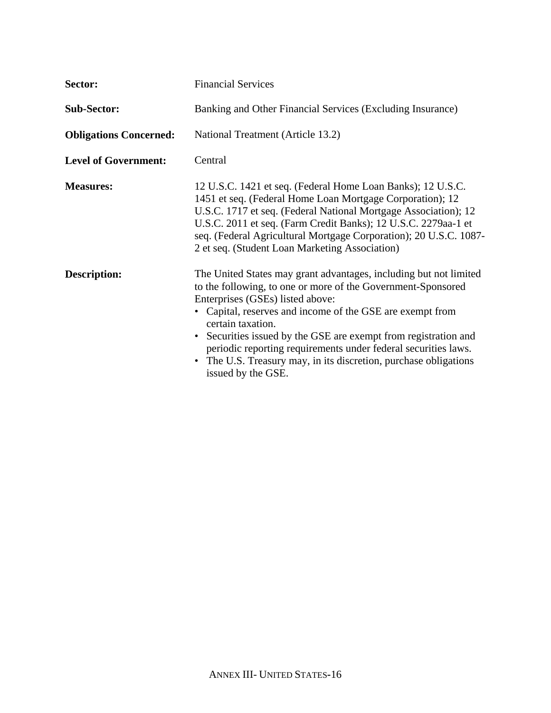| Sector:                       | <b>Financial Services</b>                                                                                                                                                                                                                                                                                                                                                                                                                                                              |
|-------------------------------|----------------------------------------------------------------------------------------------------------------------------------------------------------------------------------------------------------------------------------------------------------------------------------------------------------------------------------------------------------------------------------------------------------------------------------------------------------------------------------------|
| <b>Sub-Sector:</b>            | Banking and Other Financial Services (Excluding Insurance)                                                                                                                                                                                                                                                                                                                                                                                                                             |
| <b>Obligations Concerned:</b> | National Treatment (Article 13.2)                                                                                                                                                                                                                                                                                                                                                                                                                                                      |
| <b>Level of Government:</b>   | Central                                                                                                                                                                                                                                                                                                                                                                                                                                                                                |
| <b>Measures:</b>              | 12 U.S.C. 1421 et seq. (Federal Home Loan Banks); 12 U.S.C.<br>1451 et seq. (Federal Home Loan Mortgage Corporation); 12<br>U.S.C. 1717 et seq. (Federal National Mortgage Association); 12<br>U.S.C. 2011 et seq. (Farm Credit Banks); 12 U.S.C. 2279aa-1 et<br>seq. (Federal Agricultural Mortgage Corporation); 20 U.S.C. 1087-<br>2 et seq. (Student Loan Marketing Association)                                                                                                   |
| <b>Description:</b>           | The United States may grant advantages, including but not limited<br>to the following, to one or more of the Government-Sponsored<br>Enterprises (GSEs) listed above:<br>• Capital, reserves and income of the GSE are exempt from<br>certain taxation.<br>• Securities issued by the GSE are exempt from registration and<br>periodic reporting requirements under federal securities laws.<br>• The U.S. Treasury may, in its discretion, purchase obligations<br>issued by the GSE. |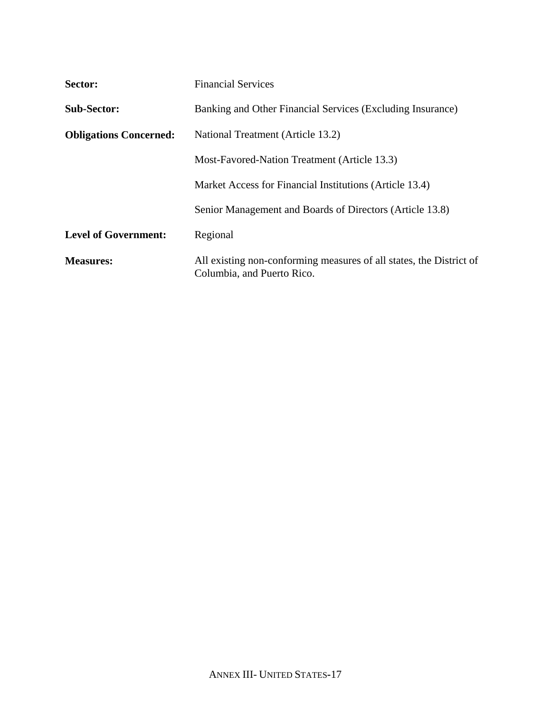| Sector:                       | <b>Financial Services</b>                                                                         |
|-------------------------------|---------------------------------------------------------------------------------------------------|
| <b>Sub-Sector:</b>            | Banking and Other Financial Services (Excluding Insurance)                                        |
| <b>Obligations Concerned:</b> | National Treatment (Article 13.2)                                                                 |
|                               | Most-Favored-Nation Treatment (Article 13.3)                                                      |
|                               | Market Access for Financial Institutions (Article 13.4)                                           |
|                               | Senior Management and Boards of Directors (Article 13.8)                                          |
| <b>Level of Government:</b>   | Regional                                                                                          |
| <b>Measures:</b>              | All existing non-conforming measures of all states, the District of<br>Columbia, and Puerto Rico. |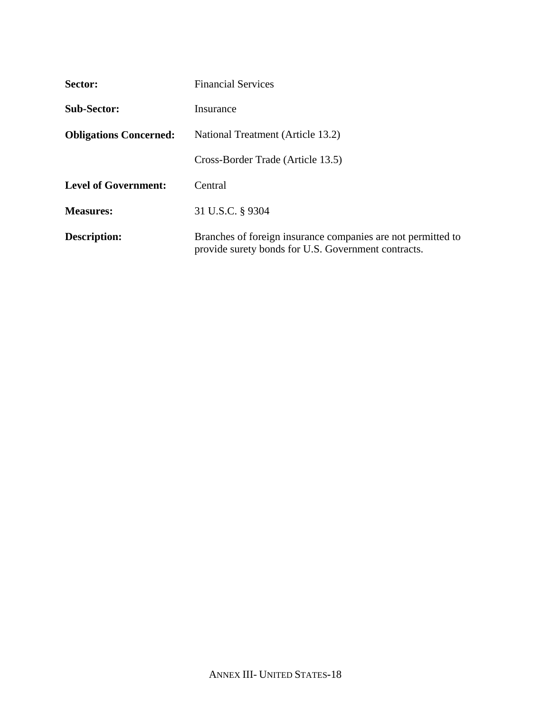| Sector:                       | <b>Financial Services</b>                                                                                           |
|-------------------------------|---------------------------------------------------------------------------------------------------------------------|
| <b>Sub-Sector:</b>            | Insurance                                                                                                           |
| <b>Obligations Concerned:</b> | National Treatment (Article 13.2)                                                                                   |
|                               | Cross-Border Trade (Article 13.5)                                                                                   |
| <b>Level of Government:</b>   | Central                                                                                                             |
| <b>Measures:</b>              | 31 U.S.C. § 9304                                                                                                    |
| <b>Description:</b>           | Branches of foreign insurance companies are not permitted to<br>provide surety bonds for U.S. Government contracts. |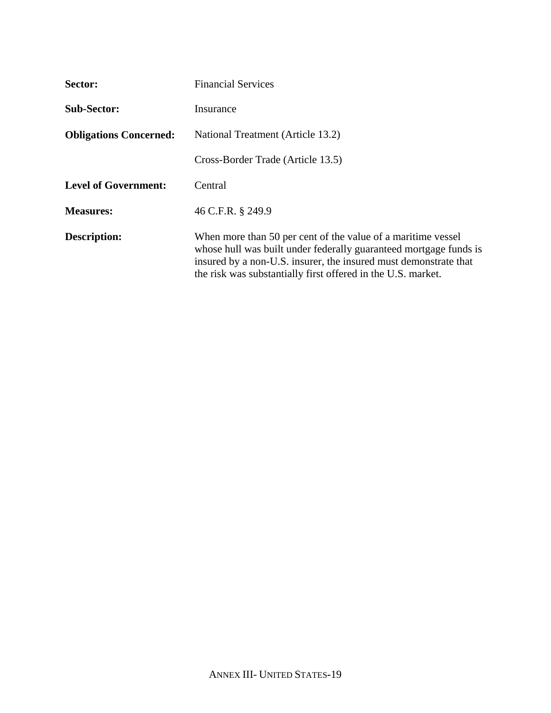| Sector:                       | <b>Financial Services</b>                                                                                                                                                                                                                                             |
|-------------------------------|-----------------------------------------------------------------------------------------------------------------------------------------------------------------------------------------------------------------------------------------------------------------------|
| <b>Sub-Sector:</b>            | Insurance                                                                                                                                                                                                                                                             |
| <b>Obligations Concerned:</b> | National Treatment (Article 13.2)                                                                                                                                                                                                                                     |
|                               | Cross-Border Trade (Article 13.5)                                                                                                                                                                                                                                     |
| <b>Level of Government:</b>   | Central                                                                                                                                                                                                                                                               |
| <b>Measures:</b>              | 46 C.F.R. § 249.9                                                                                                                                                                                                                                                     |
| <b>Description:</b>           | When more than 50 per cent of the value of a maritime vessel<br>whose hull was built under federally guaranteed mortgage funds is<br>insured by a non-U.S. insurer, the insured must demonstrate that<br>the risk was substantially first offered in the U.S. market. |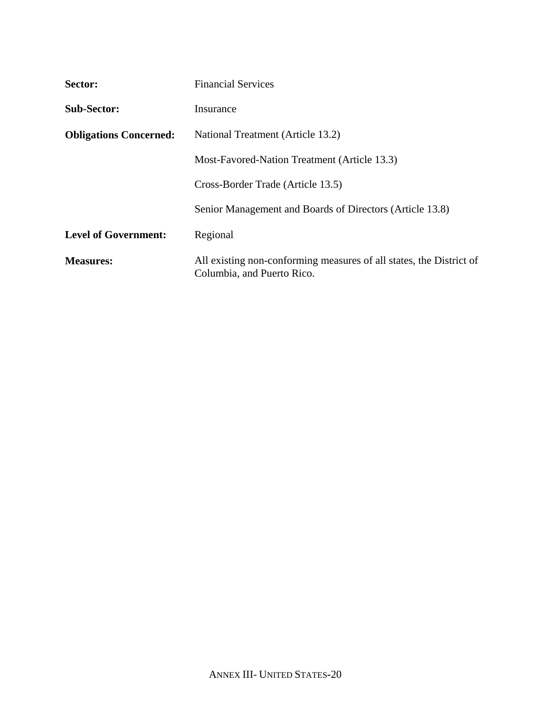| Sector:                       | <b>Financial Services</b>                                                                         |
|-------------------------------|---------------------------------------------------------------------------------------------------|
| <b>Sub-Sector:</b>            | Insurance                                                                                         |
| <b>Obligations Concerned:</b> | National Treatment (Article 13.2)                                                                 |
|                               | Most-Favored-Nation Treatment (Article 13.3)                                                      |
|                               | Cross-Border Trade (Article 13.5)                                                                 |
|                               | Senior Management and Boards of Directors (Article 13.8)                                          |
| <b>Level of Government:</b>   | Regional                                                                                          |
| <b>Measures:</b>              | All existing non-conforming measures of all states, the District of<br>Columbia, and Puerto Rico. |